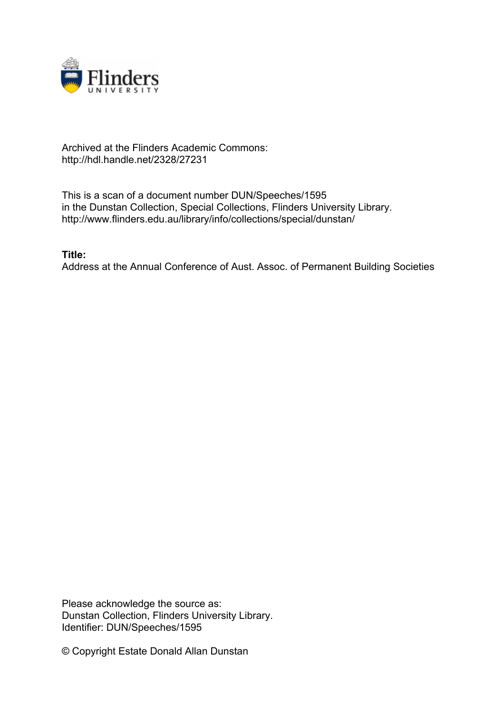

## Archived at the Flinders Academic Commons: http://hdl.handle.net/2328/27231

This is a scan of a document number DUN/Speeches/1595 in the Dunstan Collection, Special Collections, Flinders University Library. http://www.flinders.edu.au/library/info/collections/special/dunstan/

**Title:**

Address at the Annual Conference of Aust. Assoc. of Permanent Building Societies

Please acknowledge the source as: Dunstan Collection, Flinders University Library. Identifier: DUN/Speeches/1595

© Copyright Estate Donald Allan Dunstan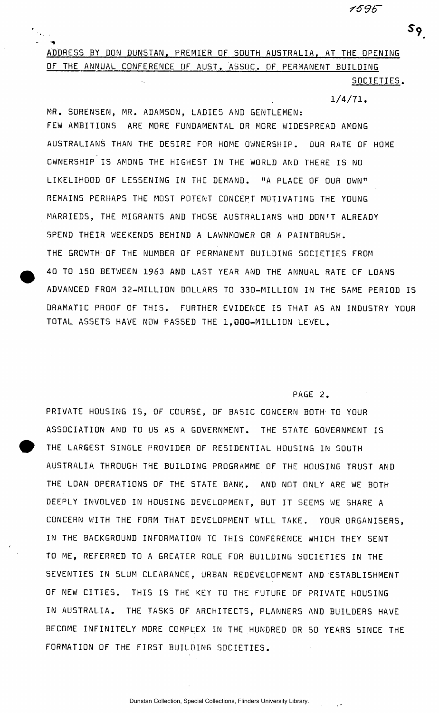### 1595

# ADDRESS BY DON DUNSTAN. PREMIER OF SOUTH AU5TRALIA. AT THE OPENING OF THE ANNUAL CONFERENCE OF AUST. ASSOC. OF PERMANENT BUILDING

SOCIETIES .

 $1/4/71$ .

MR. SORENSEN, MR. ADAMSON, LADIES AND GENTLEMEN: FEW AMBITIONS ARE MORE FUNDAMENTAL OR MORE WIDESPREAD AMONG AUSTRALIANS THAN THE DESIRE FOR HOME OWNERSHIP. OUR RATE OF HOME OWNERSHIP IS AMONG THE HIGHEST IN THE WORLD AND THERE IS NO LIKELIHOOD OF LESSENING IN THE DEMAND. "A PLACE OF OUR OWN" REMAINS PERHAPS THE MOST POTENT CONCEPT MOTIVATING THE YOUNG MARRIEDS, THE MIGRANTS AND THOSE AUSTRALIANS WHO DON'T ALREADY SPEND THEIR WEEKENDS BEHIND A LAWNMOWER OR A PAINTBRUSH. THE GROWTH OF THE NUMBER OF PERMANENT BUILDING SOCIETIES FROM 40 TO 150 BETWEEN 1963 AND LAST YEAR AND THE ANNUAL RATE OF LOANS ADVANCED FROM 32-MILLION DOLLARS TO 330-MILLION IN THE SAME PERIOD IS DRAMATIC PROOF OF THIS. FURTHER EVIDENCE IS THAT AS AN INDUSTRY YOUR TOTAL ASSETS HAVE NOW PASSED THE 1,000-MILLION LEVEL.

#### PAGE 2.

PRIVATE HOUSING IS, OF COURSE, OF BASIC CONCERN BOTH TO YOUR ASSOCIATION AND TO US AS A GOVERNMENT. THE STATE GOVERNMENT IS THE LARGEST SINGLE PROVIDER OF RESIDENTIAL HOUSING IN SOUTH AUSTRALIA THROUGH THE BUILDING PROGRAMME OF THE HOUSING TRUST AND THE LOAN OPERATIONS OF THE STATE BANK. AND NOT ONLY ARE WE BOTH DEEPLY INVOLVED IN HOUSING DEVELOPMENT, BUT IT SEEMS WE SHARE A CONCERN WITH THE FORM THAT DEVELOPMENT WILL TAKE. YOUR ORGANISERS , IN THE BACKGROUND INFORMATION TO THIS CONFERENCE WHICH THEY SENT TO ME, REFERRED TO A GREATER ROLE FOR BUILDING SOCIETIES IN THE SEVENTIES IN SLUM CLEARANCE, URBAN REDEVELOPMENT AND ESTABLISHMENT OF NEW CITIES. THIS IS THE KEY TO THE FUTURE OF PRIVATE HOUSING IN AUSTRALIA. THE TASKS OF ARCHITECTS, PLANNERS AND BUILDERS HAVE BECOME INFINITELY MORE COMPLEX IN THE HUNDRED OR SO YEARS SINCE THE FORMATION OF THE FIRST BUILDING SOCIETIES.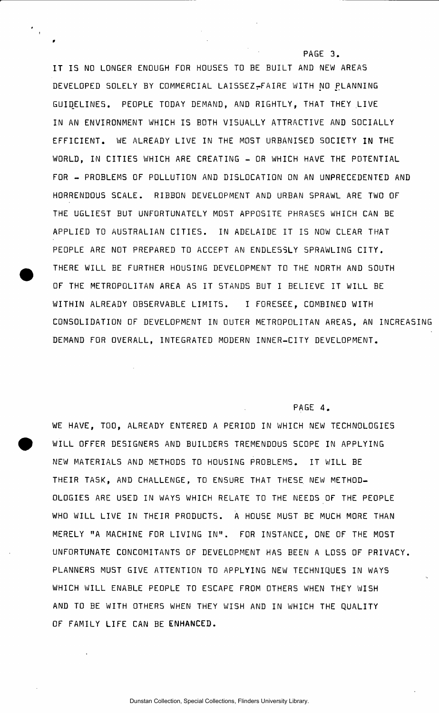IT IS NO LONGER ENOUGH FOR HOUSES TO BE BUILT AND NEW AREAS DEVELOPED SOLELY BY COMMERCIAL LAISSEZ-FAIRE WITH NO PLANNING GUIDELINES. PEOPLE TODAY DEMAND, AND RIGHTLY, THAT THEY LIVE IN AN ENVIRONMENT WHICH IS BOTH VISUALLY ATTRACTIVE AND SOCIALLY EFFICIENT. WE ALREADY LIVE IN THE MOST URBANISED SOCIETY IN THE WORLD, IN CITIES WHICH ARE CREATING - OR WHICH HAVE THE POTENTIAL FOR - PROBLEMS OF POLLUTION AND DISLOCATION ON AN UNPRECEDENTED AND HORRENDOUS SCALE . RIBBON DEVELOPMENT AND URBAN SPRAWL ARE TWO OF THE UGLIEST BUT UNFORTUNATELY MOST APPOSITE PHRASES WHICH CAN BE APPLIED TO AUSTRALIAN CITIES. IN ADELAIDE IT IS NOW CLEAR THAT PEOPLE ARE NOT PREPARED TO ACCEPT AN ENDLESSLY SPRAWLING CITY . THERE WILL BE FURTHER HOUSING DEVELOPMENT TO THE NORTH AND SOUTH OF THE METROPOLITAN AREA AS IT STANDS BUT I BELIEVE IT WILL BE WITHIN ALREADY OBSERVABLE LIMITS. I FORESEE, COMBINED WITH CONSOLIDATION OF DEVELOPMENT IN OUTER METROPOLITAN AREAS , AN INCREASING DEMAND FOR OVERALL, INTEGRATED MODERN INNER-CITY DEVELOPMENT.

#### PAGE 4.

PAGE 3.

WE HAVE, TOO, ALREADY ENTERED A PERIOD IN WHICH NEW TECHNOLOGIES WILL OFFER DESIGNERS AND BUILDERS TREMENDOUS SCOPE IN APPLYING NEW MATERIALS AND METHODS TO HOUSING PROBLEMS. IT WILL BE THEIR TASK, AND CHALLENGE, TO ENSURE THAT THESE NEW METHOD-OLOGIES ARE USED IN WAYS WHICH RELATE TO THE NEEDS OF THE PEOPLE WHO WILL LIVE IN THEIR PRODUCTS. A HOUSE MUST BE MUCH MORE THAN MERELY "A MACHINE FOR LIVING IN". FOR INSTANCE, ONE OF THE MOST UNFORTUNATE CONCOMITANTS OF DEVELOPMENT HAS BEEN A LOSS OF PRIVACY. PLANNERS MUST GIVE ATTENTION TO APPLYING NEW TECHNIQUES IN WAYS WHICH WILL ENABLE PEOPLE TO ESCAPE FROM OTHERS WHEN THEY WISH AND TO BE WITH OTHERS WHEN THEY WISH AND IN WHICH THE QUALITY OF FAMILY LIFE CAN BE ENHANCED.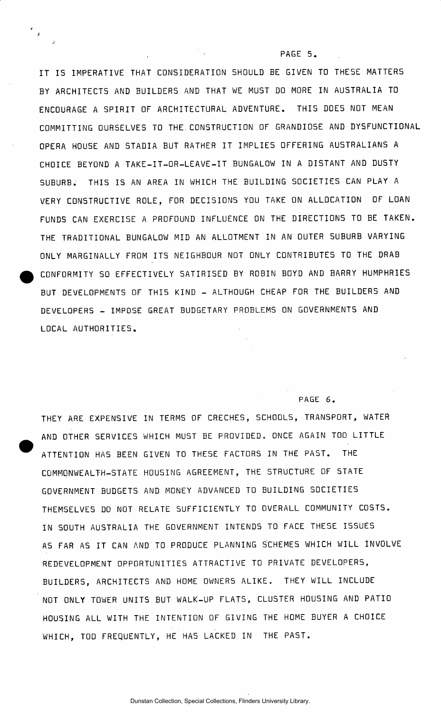IT IS IMPERATIVE THAT CONSIDERATION SHOULD BE GIVEN TO THESE MATTERS BY ARCHITECTS AND BUILDERS AND THAT WE MUST DO MORE IN AUSTRALIA TO ENCOURAGE A SPIRIT OF ARCHITECTURAL ADVENTURE. THIS DOES NOT MEAN COMMITTING OURSELVES TO THE.CONSTRUCTION OF GRANDIOSE AND DYSFUNCTIONAL OPERA HOUSE AND STADIA BUT RATHER IT IMPLIES OFFERING AUSTRALIANS A CHOICE BEYOND A TAKE-IT-OR-LEAVE-IT BUNGALOW IN A DISTANT AND DUSTY SUBURB. THIS IS AN AREA IN WHICH THE BUILDING SOCIETIES CAN PLAY A VERY CONSTRUCTIVE ROLE, FOR DECISIONS YOU TAKE ON ALLOCATION OF LOAN FUNDS CAN EXERCISE A PROFOUND INFLUENCE ON THE DIRECTIONS TO BE TAKEN. THE TRADITIONAL BUNGALOW MID AN ALLOTMENT IN AN OUTER SUBURB VARYING ONLY MARGINALLY FROM ITS NEIGHBOUR NOT ONLY CONTRIBUTES TO THE DRAB CONFORMITY SO EFFECTIVELY SATIRISED BY ROBIN BOYD AND BARRY HUMPHRIES BUT DEVELOPMENTS OF THIS KIND - ALTHOUGH CHEAP FOR THE BUILDERS AND DEVELOPERS - IMPOSE GREAT BUDGETARY PROBLEMS ON GOVERNMENTS AND LOCAL AUTHORITIES .

 $\mathcal{L}$ 

#### PAGE 6.

PAGE 5.

THEY ARE EXPENSIVE IN TERMS OF CRECHES, SCHOOLS, TRANSPORT, WATER AND OTHER SERVICES WHICH MUST BE PROVIDED. ONCE AGAIN TOO LITTLE ATTENTION HAS BEEN GIVEN TO THESE FACTORS IN THE PAST. THE COMMONWEALTH-STATE HOUSING AGREEMENT, THE STRUCTURE OF STATE GOVERNMENT BUDGETS AND MONEY ADVANCED TO BUILDING SOCIETIE S THEMSELVES DO NOT RELATE SUFFICIENTLY TO OVERALL COMMUNITY COSTS. IN SOUTH AUSTRALIA THE GOVERNMENT INTENDS TO FACE THESE ISSUES AS FAR AS IT CAN AND TO PRODUCE PLANNING SCHEMES WHICH WILL INVOLVE REDEVELOPMENT OPPORTUNITIES ATTRACTIVE TO PRIVATE DEVELOPERS, BUILDERS, ARCHITECTS AND HOME OWNERS ALIKE. THEY WILL INCLUDE NOT ONLY TOWER UNITS BUT WALK-UP FLATS , CLUSTER HOUSING AND PATIO HOUSING ALL WITH THE INTENTION OF GIVING THE HOME BUYER A CHOICE WHICH, TOO FREQUENTLY, HE HAS LACKED IN THE PAST.